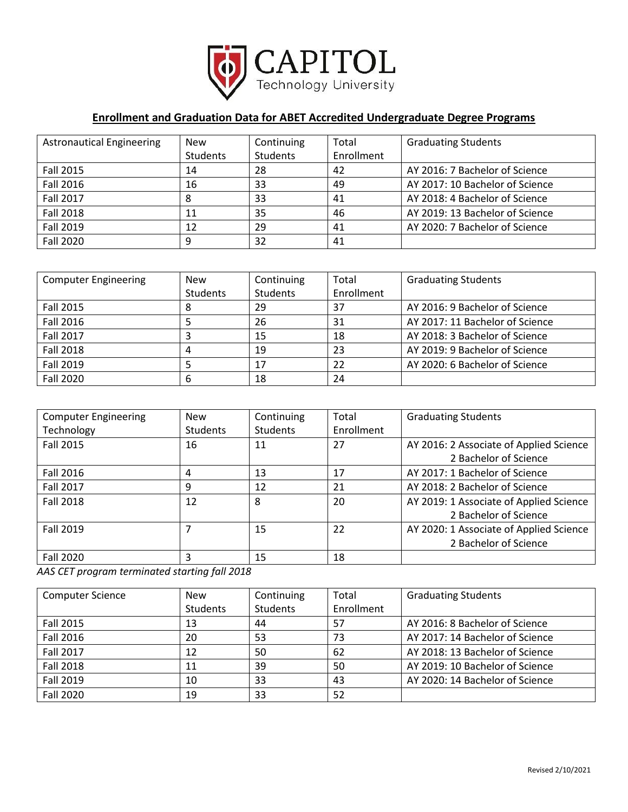

## **Enrollment and Graduation Data for ABET Accredited Undergraduate Degree Programs**

| <b>Astronautical Engineering</b> | <b>New</b> | Continuing      | Total      | <b>Graduating Students</b>      |
|----------------------------------|------------|-----------------|------------|---------------------------------|
|                                  | Students   | <b>Students</b> | Enrollment |                                 |
| Fall 2015                        | 14         | 28              | 42         | AY 2016: 7 Bachelor of Science  |
| Fall 2016                        | 16         | 33              | 49         | AY 2017: 10 Bachelor of Science |
| <b>Fall 2017</b>                 | 8          | 33              | 41         | AY 2018: 4 Bachelor of Science  |
| <b>Fall 2018</b>                 | 11         | 35              | 46         | AY 2019: 13 Bachelor of Science |
| Fall 2019                        | 12         | 29              | 41         | AY 2020: 7 Bachelor of Science  |
| <b>Fall 2020</b>                 | 9          | 32              | 41         |                                 |

| <b>Computer Engineering</b> | New      | Continuing      | Total      | <b>Graduating Students</b>      |
|-----------------------------|----------|-----------------|------------|---------------------------------|
|                             | Students | <b>Students</b> | Enrollment |                                 |
| Fall 2015                   |          | 29              | 37         | AY 2016: 9 Bachelor of Science  |
| Fall 2016                   |          | 26              | 31         | AY 2017: 11 Bachelor of Science |
| Fall 2017                   |          | 15              | 18         | AY 2018: 3 Bachelor of Science  |
| <b>Fall 2018</b>            |          | 19              | 23         | AY 2019: 9 Bachelor of Science  |
| <b>Fall 2019</b>            |          | 17              | 22         | AY 2020: 6 Bachelor of Science  |
| <b>Fall 2020</b>            | ь        | 18              | 24         |                                 |

| <b>Computer Engineering</b> | <b>New</b>      | Continuing | Total      | <b>Graduating Students</b>              |
|-----------------------------|-----------------|------------|------------|-----------------------------------------|
| Technology                  | <b>Students</b> | Students   | Enrollment |                                         |
| <b>Fall 2015</b>            | 16              | 11         | 27         | AY 2016: 2 Associate of Applied Science |
|                             |                 |            |            | 2 Bachelor of Science                   |
| Fall 2016                   | 4               | 13         | 17         | AY 2017: 1 Bachelor of Science          |
| <b>Fall 2017</b>            | 9               | 12         | 21         | AY 2018: 2 Bachelor of Science          |
| <b>Fall 2018</b>            | 12              | 8          | 20         | AY 2019: 1 Associate of Applied Science |
|                             |                 |            |            | 2 Bachelor of Science                   |
| Fall 2019                   |                 | 15         | 22         | AY 2020: 1 Associate of Applied Science |
|                             |                 |            |            | 2 Bachelor of Science                   |
| Fall 2020                   | 3               | 15         | 18         |                                         |

*AAS CET program terminated starting fall 2018*

| <b>Computer Science</b> | <b>New</b> | Continuing | Total      | <b>Graduating Students</b>      |
|-------------------------|------------|------------|------------|---------------------------------|
|                         | Students   | Students   | Enrollment |                                 |
| Fall 2015               | 13         | 44         | 57         | AY 2016: 8 Bachelor of Science  |
| Fall 2016               | 20         | 53         | 73         | AY 2017: 14 Bachelor of Science |
| Fall 2017               | 12         | 50         | 62         | AY 2018: 13 Bachelor of Science |
| <b>Fall 2018</b>        | 11         | 39         | 50         | AY 2019: 10 Bachelor of Science |
| Fall 2019               | 10         | 33         | 43         | AY 2020: 14 Bachelor of Science |
| Fall 2020               | 19         | 33         | 52         |                                 |